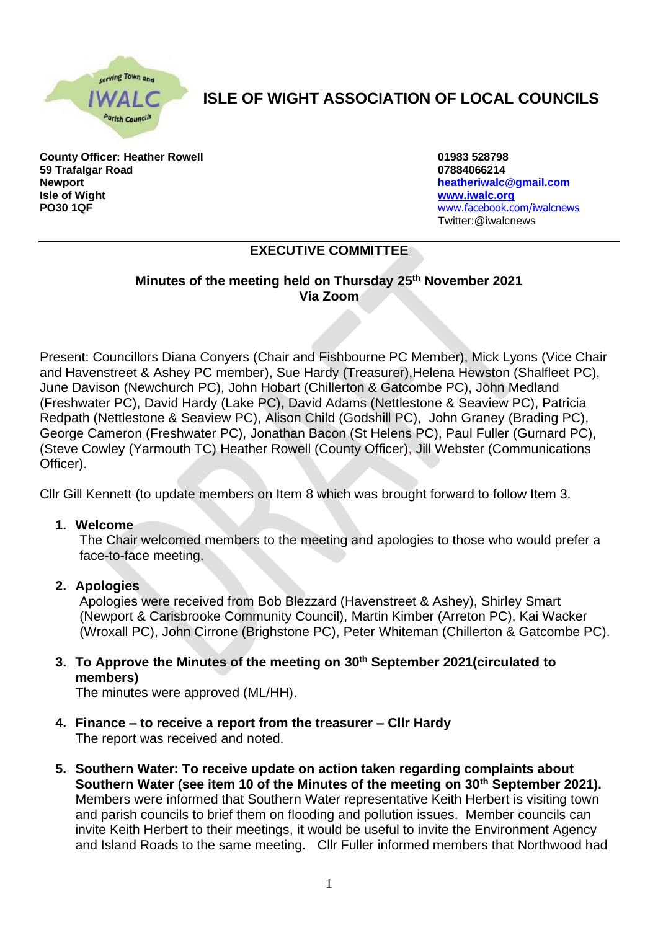

# **ISLE OF WIGHT ASSOCIATION OF LOCAL COUNCILS**

**County Officer: Heather Rowell 01983 528798 59 Trafalgar Road 07884066214 Newport [heatheriwalc@gmail.com](mailto:heatheriwalc@gmail.com) Isle of Wight [www.iwalc.org](http://www.iwalc.org/) PO30 1QF** [www.facebook.com/iwalcnews](http://www.facebook.com/iwalcnews)

Twitter:@iwalcnews

# **EXECUTIVE COMMITTEE**

#### **Minutes of the meeting held on Thursday 25th November 2021 Via Zoom**

Present: Councillors Diana Conyers (Chair and Fishbourne PC Member), Mick Lyons (Vice Chair and Havenstreet & Ashey PC member), Sue Hardy (Treasurer),Helena Hewston (Shalfleet PC), June Davison (Newchurch PC), John Hobart (Chillerton & Gatcombe PC), John Medland (Freshwater PC), David Hardy (Lake PC), David Adams (Nettlestone & Seaview PC), Patricia Redpath (Nettlestone & Seaview PC), Alison Child (Godshill PC), John Graney (Brading PC), George Cameron (Freshwater PC), Jonathan Bacon (St Helens PC), Paul Fuller (Gurnard PC), (Steve Cowley (Yarmouth TC) Heather Rowell (County Officer), Jill Webster (Communications Officer).

Cllr Gill Kennett (to update members on Item 8 which was brought forward to follow Item 3.

#### **1. Welcome**

The Chair welcomed members to the meeting and apologies to those who would prefer a face-to-face meeting.

#### **2. Apologies**

Apologies were received from Bob Blezzard (Havenstreet & Ashey), Shirley Smart (Newport & Carisbrooke Community Council), Martin Kimber (Arreton PC), Kai Wacker (Wroxall PC), John Cirrone (Brighstone PC), Peter Whiteman (Chillerton & Gatcombe PC).

## **3. To Approve the Minutes of the meeting on 30th September 2021(circulated to members)**

The minutes were approved (ML/HH).

- **4. Finance – to receive a report from the treasurer – Cllr Hardy** The report was received and noted.
- **5. Southern Water: To receive update on action taken regarding complaints about Southern Water (see item 10 of the Minutes of the meeting on 30th September 2021).** Members were informed that Southern Water representative Keith Herbert is visiting town and parish councils to brief them on flooding and pollution issues. Member councils can invite Keith Herbert to their meetings, it would be useful to invite the Environment Agency and Island Roads to the same meeting. Cllr Fuller informed members that Northwood had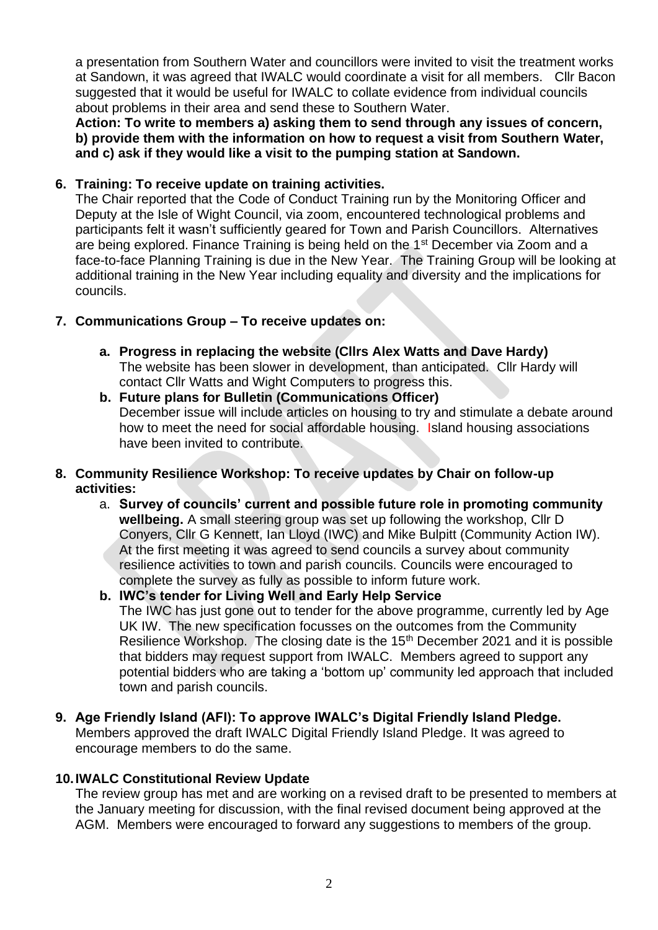a presentation from Southern Water and councillors were invited to visit the treatment works at Sandown, it was agreed that IWALC would coordinate a visit for all members. Cllr Bacon suggested that it would be useful for IWALC to collate evidence from individual councils about problems in their area and send these to Southern Water.

**Action: To write to members a) asking them to send through any issues of concern, b) provide them with the information on how to request a visit from Southern Water, and c) ask if they would like a visit to the pumping station at Sandown.**

#### **6. Training: To receive update on training activities.**

The Chair reported that the Code of Conduct Training run by the Monitoring Officer and Deputy at the Isle of Wight Council, via zoom, encountered technological problems and participants felt it wasn't sufficiently geared for Town and Parish Councillors. Alternatives are being explored. Finance Training is being held on the 1<sup>st</sup> December via Zoom and a face-to-face Planning Training is due in the New Year. The Training Group will be looking at additional training in the New Year including equality and diversity and the implications for councils.

### **7. Communications Group – To receive updates on:**

- **a. Progress in replacing the website (Cllrs Alex Watts and Dave Hardy)** The website has been slower in development, than anticipated. Cllr Hardy will contact Cllr Watts and Wight Computers to progress this.
- **b. Future plans for Bulletin (Communications Officer)** December issue will include articles on housing to try and stimulate a debate around how to meet the need for social affordable housing. Island housing associations have been invited to contribute.

### **8. Community Resilience Workshop: To receive updates by Chair on follow-up activities:**

a. **Survey of councils' current and possible future role in promoting community wellbeing.** A small steering group was set up following the workshop, Cllr D Conyers, Cllr G Kennett, Ian Lloyd (IWC) and Mike Bulpitt (Community Action IW). At the first meeting it was agreed to send councils a survey about community resilience activities to town and parish councils. Councils were encouraged to complete the survey as fully as possible to inform future work.

**b. IWC's tender for Living Well and Early Help Service** The IWC has just gone out to tender for the above programme, currently led by Age UK IW. The new specification focusses on the outcomes from the Community Resilience Workshop. The closing date is the 15<sup>th</sup> December 2021 and it is possible that bidders may request support from IWALC. Members agreed to support any potential bidders who are taking a 'bottom up' community led approach that included town and parish councils.

# **9. Age Friendly Island (AFI): To approve IWALC's Digital Friendly Island Pledge.**

Members approved the draft IWALC Digital Friendly Island Pledge. It was agreed to encourage members to do the same.

#### **10.IWALC Constitutional Review Update**

The review group has met and are working on a revised draft to be presented to members at the January meeting for discussion, with the final revised document being approved at the AGM. Members were encouraged to forward any suggestions to members of the group.